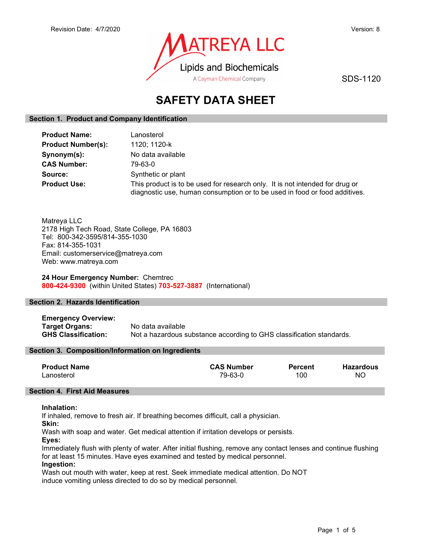

SDS-1120

# SAFETY DATA SHEET

# Section 1. Product and Company Identification

| <b>Product Name:</b>      | Lanosterol                                                                                                                                                 |
|---------------------------|------------------------------------------------------------------------------------------------------------------------------------------------------------|
| <b>Product Number(s):</b> | 1120; 1120-k                                                                                                                                               |
| Synonym(s):               | No data available                                                                                                                                          |
| <b>CAS Number:</b>        | 79-63-0                                                                                                                                                    |
| Source:                   | Synthetic or plant                                                                                                                                         |
| <b>Product Use:</b>       | This product is to be used for research only. It is not intended for drug or<br>diagnostic use, human consumption or to be used in food or food additives. |

Matreya LLC 2178 High Tech Road, State College, PA 16803 Tel: 800-342-3595/814-355-1030 Fax: 814-355-1031 Email: customerservice@matreya.com Web: www.matreya.com

24 Hour Emergency Number: Chemtrec 800-424-9300 (within United States) 703-527-3887 (International)

# Section 2. Hazards Identification

Emergency Overview: Target Organs: No data available GHS Classification: Not a hazardous substance according to GHS classification standards.

# Section 3. Composition/Information on Ingredients

| <b>Product Name</b> | <b>CAS Number</b> | <b>Percent</b> | <b>Hazardous</b> |
|---------------------|-------------------|----------------|------------------|
| Lanosterol          | 79-63-0           | 100            | NO.              |

# Section 4. First Aid Measures

# Inhalation:

If inhaled, remove to fresh air. If breathing becomes difficult, call a physician.

Skin:

Wash with soap and water. Get medical attention if irritation develops or persists.

Eyes:

Immediately flush with plenty of water. After initial flushing, remove any contact lenses and continue flushing for at least 15 minutes. Have eyes examined and tested by medical personnel.

# Ingestion:

Wash out mouth with water, keep at rest. Seek immediate medical attention. Do NOT induce vomiting unless directed to do so by medical personnel.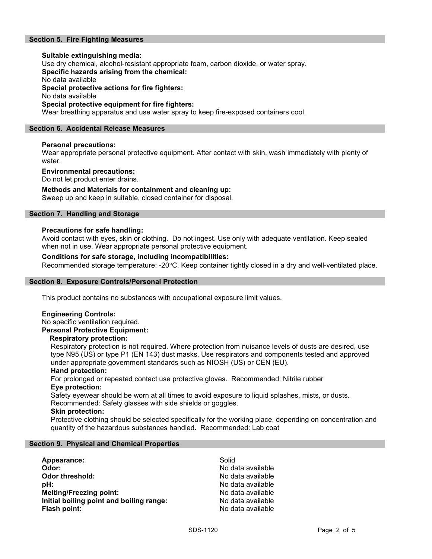# Section 5. Fire Fighting Measures

# Suitable extinguishing media: Use dry chemical, alcohol-resistant appropriate foam, carbon dioxide, or water spray. Specific hazards arising from the chemical: No data available Special protective actions for fire fighters: No data available Special protective equipment for fire fighters:

Wear breathing apparatus and use water spray to keep fire-exposed containers cool.

### Section 6. Accidental Release Measures

# Personal precautions:

Wear appropriate personal protective equipment. After contact with skin, wash immediately with plenty of water.

#### Environmental precautions:

Do not let product enter drains.

#### Methods and Materials for containment and cleaning up:

Sweep up and keep in suitable, closed container for disposal.

# Section 7. Handling and Storage

#### Precautions for safe handling:

Avoid contact with eyes, skin or clothing. Do not ingest. Use only with adequate ventilation. Keep sealed when not in use. Wear appropriate personal protective equipment.

### Conditions for safe storage, including incompatibilities:

Recommended storage temperature: -20°C. Keep container tightly closed in a dry and well-ventilated place.

#### Section 8. Exposure Controls/Personal Protection

This product contains no substances with occupational exposure limit values.

#### Engineering Controls:

No specific ventilation required. Personal Protective Equipment:

#### Respiratory protection:

Respiratory protection is not required. Where protection from nuisance levels of dusts are desired, use type N95 (US) or type P1 (EN 143) dust masks. Use respirators and components tested and approved under appropriate government standards such as NIOSH (US) or CEN (EU).

#### Hand protection:

For prolonged or repeated contact use protective gloves. Recommended: Nitrile rubber Eye protection:

Safety eyewear should be worn at all times to avoid exposure to liquid splashes, mists, or dusts. Recommended: Safety glasses with side shields or goggles.

#### Skin protection:

Protective clothing should be selected specifically for the working place, depending on concentration and quantity of the hazardous substances handled. Recommended: Lab coat

#### Section 9. Physical and Chemical Properties

| Appearance:                              | Solid             |
|------------------------------------------|-------------------|
| Odor:                                    | No data available |
| <b>Odor threshold:</b>                   | No data available |
| pH:                                      | No data available |
| <b>Melting/Freezing point:</b>           | No data available |
| Initial boiling point and boiling range: | No data available |
| Flash point:                             | No data available |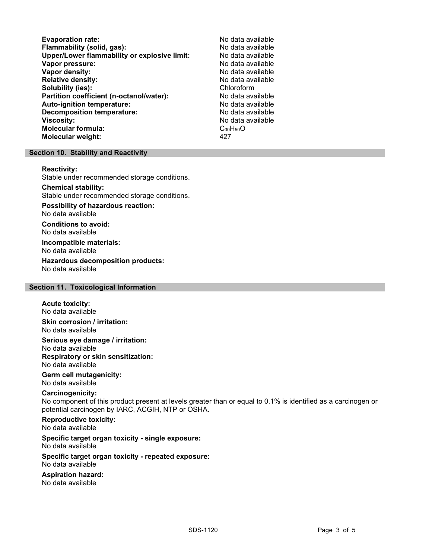Evaporation rate:<br>
Flammability (solid. gas): No data available Flammability (solid, gas):<br>
Upper/Lower flammability or explosive limit: No data available Upper/Lower flammability or explosive limit: Vapor pressure:  $\blacksquare$ Vapor density: No data available Relative density: No data available Solubility (ies): Chloroform Partition coefficient (n-octanol/water): No data available Auto-ignition temperature: No data available Decomposition temperature: No data available Viscosity: No data available Molecular formula: C<sub>30</sub>H<sub>50</sub>O Molecular weight: 427

#### Section 10. Stability and Reactivity

#### Reactivity:

Stable under recommended storage conditions.

### Chemical stability:

Stable under recommended storage conditions.

# Possibility of hazardous reaction:

No data available

Conditions to avoid: No data available

#### Incompatible materials: No data available

Hazardous decomposition products: No data available

# Section 11. Toxicological Information

#### Acute toxicity: No data available

Skin corrosion / irritation: No data available

Serious eye damage / irritation: No data available Respiratory or skin sensitization: No data available

#### Germ cell mutagenicity: No data available

# Carcinogenicity:

No component of this product present at levels greater than or equal to 0.1% is identified as a carcinogen or potential carcinogen by IARC, ACGIH, NTP or OSHA.

# Reproductive toxicity:

No data available

# Specific target organ toxicity - single exposure:

No data available

#### Specific target organ toxicity - repeated exposure: No data available

# Aspiration hazard:

No data available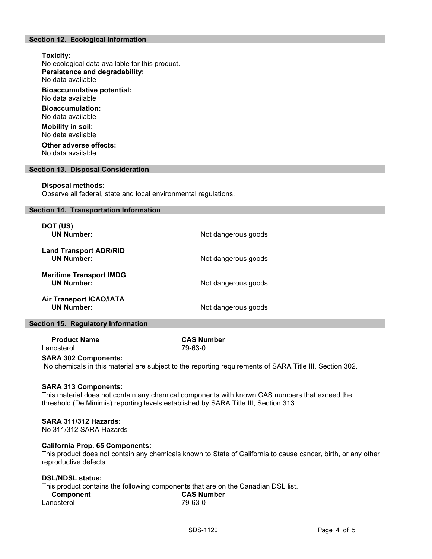# Section 12. Ecological Information

# Toxicity: No ecological data available for this product. Persistence and degradability: No data available Bioaccumulative potential: No data available Bioaccumulation: No data available Mobility in soil: No data available Other adverse effects: No data available

#### Section 13. Disposal Consideration

#### Disposal methods:

Observe all federal, state and local environmental regulations.

#### Section 14. Transportation Information

| Not dangerous goods |
|---------------------|
| Not dangerous goods |
| Not dangerous goods |
| Not dangerous goods |
|                     |

#### Section 15. Regulatory Information

| <b>Product Name</b> | <b>CAS Number</b> |
|---------------------|-------------------|
| Lanosterol          | 79-63-0           |

#### SARA 302 Components:

No chemicals in this material are subject to the reporting requirements of SARA Title III, Section 302.

#### SARA 313 Components:

This material does not contain any chemical components with known CAS numbers that exceed the threshold (De Minimis) reporting levels established by SARA Title III, Section 313.

#### SARA 311/312 Hazards:

No 311/312 SARA Hazards

#### California Prop. 65 Components:

This product does not contain any chemicals known to State of California to cause cancer, birth, or any other reproductive defects.

# DSL/NDSL status:

This product contains the following components that are on the Canadian DSL list.

| Component  | <b>CAS Number</b> |
|------------|-------------------|
| Lanosterol | 79-63-0           |